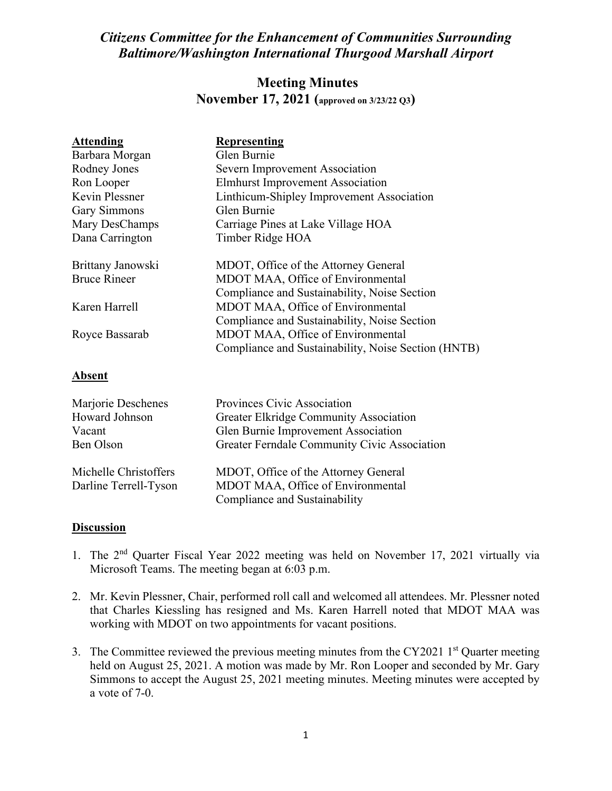## *Citizens Committee for the Enhancement of Communities Surrounding Baltimore/Washington International Thurgood Marshall Airport*

## **Meeting Minutes November 17, 2021 (approved on 3/23/22 Q3)**

| <b>Attending</b>      | <b>Representing</b>                                 |
|-----------------------|-----------------------------------------------------|
| Barbara Morgan        | Glen Burnie                                         |
| Rodney Jones          | Severn Improvement Association                      |
| Ron Looper            | <b>Elmhurst Improvement Association</b>             |
| <b>Kevin Plessner</b> | Linthicum-Shipley Improvement Association           |
| <b>Gary Simmons</b>   | Glen Burnie                                         |
| Mary DesChamps        | Carriage Pines at Lake Village HOA                  |
| Dana Carrington       | Timber Ridge HOA                                    |
| Brittany Janowski     | MDOT, Office of the Attorney General                |
| <b>Bruce Rineer</b>   | MDOT MAA, Office of Environmental                   |
|                       | Compliance and Sustainability, Noise Section        |
| Karen Harrell         | MDOT MAA, Office of Environmental                   |
|                       | Compliance and Sustainability, Noise Section        |
| Royce Bassarab        | MDOT MAA, Office of Environmental                   |
|                       | Compliance and Sustainability, Noise Section (HNTB) |
| <b>Absent</b>         |                                                     |
| Marjorie Deschenes    | Provinces Civic Association                         |
| Howard Johnson        | Greater Elkridge Community Association              |
| Vacant                | Glen Burnie Improvement Association                 |
| Ben Olson             | Greater Ferndale Community Civic Association        |
| Michelle Christoffers | MDOT, Office of the Attorney General                |
| Darline Terrell-Tyson | MDOT MAA, Office of Environmental                   |
|                       | Compliance and Sustainability                       |

## **Discussion**

- 1. The 2nd Quarter Fiscal Year 2022 meeting was held on November 17, 2021 virtually via Microsoft Teams. The meeting began at 6:03 p.m.
- 2. Mr. Kevin Plessner, Chair, performed roll call and welcomed all attendees. Mr. Plessner noted that Charles Kiessling has resigned and Ms. Karen Harrell noted that MDOT MAA was working with MDOT on two appointments for vacant positions.
- 3. The Committee reviewed the previous meeting minutes from the CY2021  $1<sup>st</sup>$  Quarter meeting held on August 25, 2021. A motion was made by Mr. Ron Looper and seconded by Mr. Gary Simmons to accept the August 25, 2021 meeting minutes. Meeting minutes were accepted by a vote of 7-0.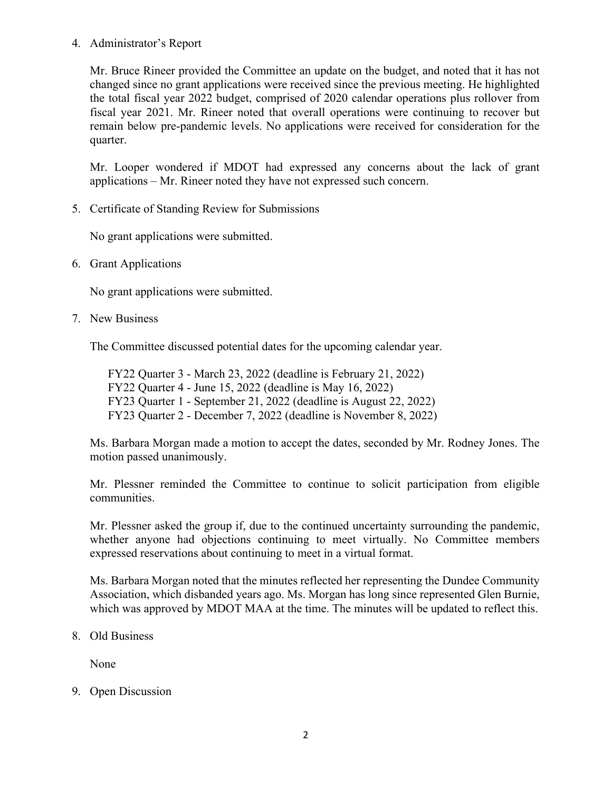## 4. Administrator's Report

Mr. Bruce Rineer provided the Committee an update on the budget, and noted that it has not changed since no grant applications were received since the previous meeting. He highlighted the total fiscal year 2022 budget, comprised of 2020 calendar operations plus rollover from fiscal year 2021. Mr. Rineer noted that overall operations were continuing to recover but remain below pre-pandemic levels. No applications were received for consideration for the quarter.

Mr. Looper wondered if MDOT had expressed any concerns about the lack of grant applications – Mr. Rineer noted they have not expressed such concern.

5. Certificate of Standing Review for Submissions

No grant applications were submitted.

6. Grant Applications

No grant applications were submitted.

7. New Business

The Committee discussed potential dates for the upcoming calendar year.

FY22 Quarter 3 - March 23, 2022 (deadline is February 21, 2022) FY22 Quarter 4 - June 15, 2022 (deadline is May 16, 2022) FY23 Quarter 1 - September 21, 2022 (deadline is August 22, 2022) FY23 Quarter 2 - December 7, 2022 (deadline is November 8, 2022)

Ms. Barbara Morgan made a motion to accept the dates, seconded by Mr. Rodney Jones. The motion passed unanimously.

Mr. Plessner reminded the Committee to continue to solicit participation from eligible communities.

Mr. Plessner asked the group if, due to the continued uncertainty surrounding the pandemic, whether anyone had objections continuing to meet virtually. No Committee members expressed reservations about continuing to meet in a virtual format.

Ms. Barbara Morgan noted that the minutes reflected her representing the Dundee Community Association, which disbanded years ago. Ms. Morgan has long since represented Glen Burnie, which was approved by MDOT MAA at the time. The minutes will be updated to reflect this.

8. Old Business

None

9. Open Discussion